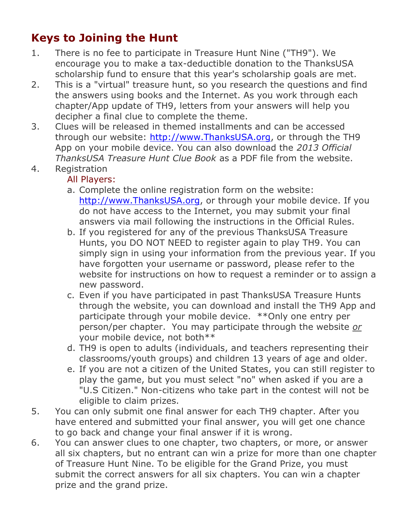## **Keys to Joining the Hunt**

- 1. There is no fee to participate in Treasure Hunt Nine ("TH9"). We encourage you to make a tax-deductible donation to the ThanksUSA scholarship fund to ensure that this year's scholarship goals are met.
- 2. This is a "virtual" treasure hunt, so you research the questions and find the answers using books and the Internet. As you work through each chapter/App update of TH9, letters from your answers will help you decipher a final clue to complete the theme.
- 3. Clues will be released in themed installments and can be accessed through our website: [http://www.ThanksUSA.org,](http://www.thanksusa.org/) or through the TH9 App on your mobile device. You can also download the *2013 Official ThanksUSA Treasure Hunt Clue Book* as a PDF file from the website.
- 4. Registration

## All Players:

- a. Complete the online registration form on the website: [http://www.ThanksUSA.org,](http://www.thanksusa.org/) or through your mobile device. If you do not have access to the Internet, you may submit your final answers via mail following the instructions in the Official Rules.
- b. If you registered for any of the previous ThanksUSA Treasure Hunts, you DO NOT NEED to register again to play TH9. You can simply sign in using your information from the previous year. If you have forgotten your username or password, please refer to the website for instructions on how to request a reminder or to assign a new password.
- c. Even if you have participated in past ThanksUSA Treasure Hunts through the website, you can download and install the TH9 App and participate through your mobile device. \*\*Only one entry per person/per chapter. You may participate through the website *or* your mobile device, not both\*\*
- d. TH9 is open to adults (individuals, and teachers representing their classrooms/youth groups) and children 13 years of age and older.
- e. If you are not a citizen of the United States, you can still register to play the game, but you must select "no" when asked if you are a "U.S Citizen." Non-citizens who take part in the contest will not be eligible to claim prizes.
- 5. You can only submit one final answer for each TH9 chapter. After you have entered and submitted your final answer, you will get one chance to go back and change your final answer if it is wrong.
- 6. You can answer clues to one chapter, two chapters, or more, or answer all six chapters, but no entrant can win a prize for more than one chapter of Treasure Hunt Nine. To be eligible for the Grand Prize, you must submit the correct answers for all six chapters. You can win a chapter prize and the grand prize.